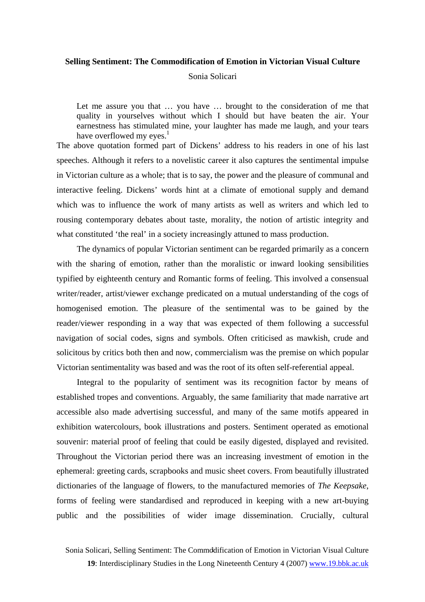#### **Selling Sentiment: The Commodification of Emotion in Victorian Visual Culture**

Sonia Solicari

Let me assure you that ... you have ... brought to the consideration of me that quality in yourselves without which I should but have beaten the air. Your earnestness has stimulated mine, your laughter has made me laugh, and your tears have overflowed my eyes. $<sup>1</sup>$  $<sup>1</sup>$  $<sup>1</sup>$ </sup>

The above quotation formed part of Dickens' address to his readers in one of his last speeches. Although it refers to a novelistic career it also captures the sentimental impulse i[n Victorian culture as a whole; that is to say, the power and the pleasure of com](#page-20-0)munal and interactive feeling. Dickens' words hint at a climate of emotional supply and demand which was to influence the work of many artists as well as writers and which led to rousing contemporary debates about taste, morality, the notion of artistic integrity and what constituted 'the real' in a society increasingly attuned to mass production.

The dynamics of popular Victorian sentiment can be regarded primarily as a concern with the sharing of emotion, rather than the moralistic or inward looking sensibilities typified by eighteenth century and Romantic forms of feeling. This involved a consensual writer/reader, artist/viewer exchange predicated on a mutual understanding of the cogs of homogenised emotion. The pleasure of the sentimental was to be gained by the reader/viewer responding in a way that was expected of them following a successful navigation of social codes, signs and symbols. Often criticised as mawkish, crude and solicitous by critics both then and now, commercialism was the premise on which popular Victorian sentimentality was based and was the root of its often self-referential appeal.

Integral to the popularity of sentiment was its recognition factor by means of established tropes and conventions. Arguably, the same familiarity that made narrative art accessible also made advertising successful, and many of the same motifs appeared in exhibition watercolours, book illustrations and posters. Sentiment operated as emotional souvenir: material proof of feeling that could be easily digested, displayed and revisited. Throughout the Victorian period there was an increasing investment of emotion in the ephemeral: greeting cards, scrapbooks and music sheet covers. From beautifully illustrated dictionaries of the language of flowers, to the manufactured memories of *The Keepsake*, forms of feeling were standardised and reproduced in keeping with a new art-buying public and the possibilities of wider image dissemination. Crucially, cultural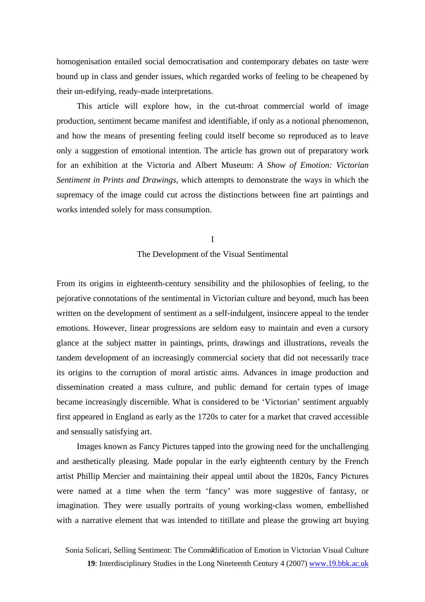homogenisation entailed social democratisation and contemporary debates on taste were bound up in class and gender issues, which regarded works of feeling to be cheapened by their un-edifying, ready-made interpretations.

This article will explore how, in the cut-throat commercial world of image production, sentiment became manifest and identifiable, if only as a notional phenomenon, and how the means of presenting feeling could itself become so reproduced as to leave only a suggestion of emotional intention. The article has grown out of preparatory work for an exhibition at the Victoria and Albert Museum: *A Show of Emotion: Victorian Sentiment in Prints and Drawings,* which attempts to demonstrate the ways in which the supremacy of the image could cut across the distinctions between fine art paintings and works intended solely for mass consumption.

> I The Development of the Visual Sentimental

From its origins in eighteenth-century sensibility and the philosophies of feeling, to the pejorative connotations of the sentimental in Victorian culture and beyond, much has been written on the development of sentiment as a self-indulgent, insincere appeal to the tender emotions. However, linear progressions are seldom easy to maintain and even a cursory glance at the subject matter in paintings, prints, drawings and illustrations, reveals the tandem development of an increasingly commercial society that did not necessarily trace its origins to the corruption of moral artistic aims. Advances in image production and dissemination created a mass culture, and public demand for certain types of image became increasingly discernible. What is considered to be 'Victorian' sentiment arguably first appeared in England as early as the 1720s to cater for a market that craved accessible and sensually satisfying art.

Images known as Fancy Pictures tapped into the growing need for the unchallenging and aesthetically pleasing. Made popular in the early eighteenth century by the French artist Phillip Mercier and maintaining their appeal until about the 1820s, Fancy Pictures were named at a time when the term 'fancy' was more suggestive of fantasy, or imagination. They were usually portraits of young working-class women, embellished with a narrative element that was intended to titillate and please the growing art buying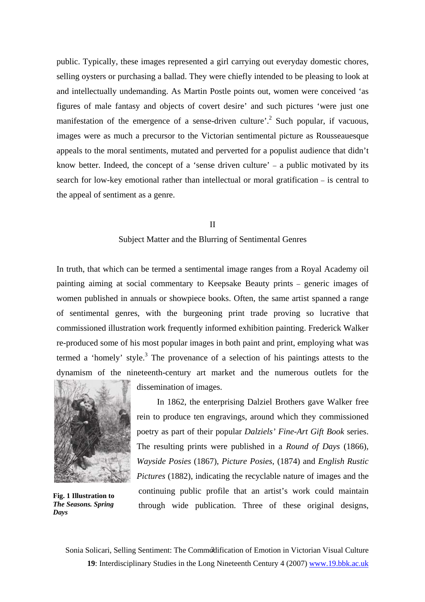public. Typically, these images represented a girl carrying out everyday domestic chores, selling oysters or purchasing a ballad. They were chiefly intended to be pleasing to look at and intellectually undemanding. As Martin Postle points out, women were conceived 'as figures of male fantasy and objects of covert desire' and such pictures 'were just one manifestation of the emergence of a sense-driven culture'.<sup>[2](#page-20-1)</sup> Such popular, if vacuous, images were as much a precursor to the Victorian sentimental picture as Rousseauesque appeals to the moral sentiments, mutated and perverted for a populist audience that didn't know better. Indeed, the concept of a 'sense driven culture' – a public motivated by its search for low-key emotional rather than intellectual or moral gratification – is central to the appeal of sentiment as a genre.

#### II

### Subject Matter and the Blurring of Sentimental Genres

In truth, that which can be termed a sentimental image ranges from a Royal Academy oil painting aiming at social commentary to Keepsake Beauty prints – generic images of women published in annuals or showpiece books. Often, the same artist spanned a range of sentimental genres, with the burgeoning print trade proving so lucrative that commissioned illustration work frequently informed exhibition painting. Frederick Walker re-produced some of his most popular images in both paint and print, employing what was termed a 'homely' style.<sup>[3](#page-20-2)</sup> The provenance of a selection of his paintings attests to the dynamism of the nineteenth-century art market and the numerous outlets for the



**Fig. 1 Illustration to**  *The Seasons. Spring Days*

dissemination of images.

In 1862, the enterprising Dalziel Brothers gave Walker free rein to produce ten engravings, around which they commissioned poetry as part of their popular *Dalziels' Fine-Art Gift Book* series. The resulting prints were published in a *Round of Days* (1866), *Wayside Posies* (1867), *Picture Posies*, (1874) and *English Rustic Pictures* (1882), indicating the recyclable nature of images and the continuing public profile that an artist's work could maintain through wide publication. Three of these original designs,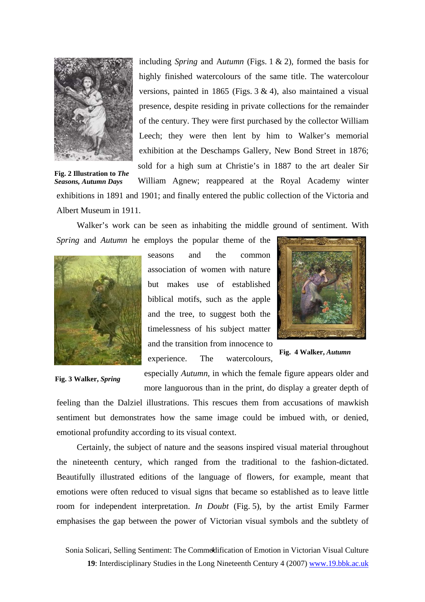

**Fig. 2 Illustration to** *The Seasons, Autumn Days* 

including *Spring* and A*utumn* (Figs. 1 & 2)*,* formed the basis for highly finished watercolours of the same title. The watercolour versions, painted in 1865 (Figs. 3 & 4), also maintained a visual presence, despite residing in private collections for the remainder of the century. They were first purchased by the collector William Leech; they were then lent by him to Walker's memorial exhibition at the Deschamps Gallery, New Bond Street in 1876; sold for a high sum at Christie's in 1887 to the art dealer Sir William Agnew; reappeared at the Royal Academy winter

exhibitions in 1891 and 1901; and finally entered the public collection of the Victoria and

Albert Museum in 1911.

Walker's work can be seen as inhabiting the middle ground of sentiment. With *Spring* and *Autumn* he employs the popular theme of the



seasons and the common association of women with nature but makes use of established biblical motifs, such as the apple and the tree, to suggest both the timelessness of his subject matter and the transition from innocence to experience. The watercolours,

 **Fig. 3 Walker,** *Spring*

especially *Autumn,* in which the female figure appears older and

more languorous than in the print, do display a greater depth of feeling than the Dalziel illustrations. This rescues them from accusations of mawkish sentiment but demonstrates how the same image could be imbued with, or denied, emotional profundity according to its visual context.

Certainly, the subject of nature and the seasons inspired visual material throughout the nineteenth century, which ranged from the traditional to the fashion-dictated. Beautifully illustrated editions of the language of flowers, for example, meant that emotions were often reduced to visual signs that became so established as to leave little room for independent interpretation. *In Doubt* (Fig. 5), by the artist Emily Farmer emphasises the gap between the power of Victorian visual symbols and the subtlety of



**Fig. 4 Walker,** *Autumn*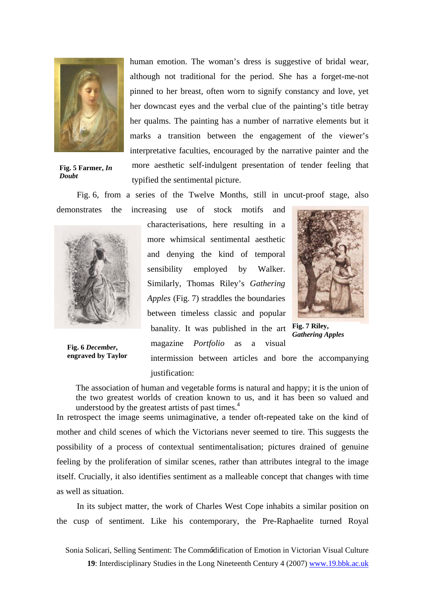

**Fig. 5 Farmer,** *In Doubt*

human emotion. The woman's dress is suggestive of bridal wear, although not traditional for the period. She has a forget-me-not pinned to her breast, often worn to signify constancy and love, yet her downcast eyes and the verbal clue of the painting's title betray her qualms. The painting has a number of narrative elements but it marks a transition between the engagement of the viewer's interpretative faculties, encouraged by the narrative painter and the more aesthetic self-indulgent presentation of tender feeling that typified the sentimental picture.

Fig. 6, from a series of the Twelve Months, still in uncut-proof stage, also

demonstrates the increasing use of stock motifs and



**Fig. 6** *December***, engraved by Taylor**  characterisations, here resulting in a more whimsical sentimental aesthetic and denying the kind of temporal sensibility employed by Walker. Similarly, Thomas Riley's *Gathering Apples* (Fig. 7) straddles the boundaries between timeless classic and popular banality. It was published in the art **Fig. 7 Riley**, magazine *Portfolio* as a visual



*Gathering Apples*

intermission between articles and bore the accompanying justification:

The association of human and vegetable forms is natural and happy; it is the union of the two greatest worlds of creation known to us, and it has been so valued and understood by the greatest artists of past times.<sup>[4](#page-20-3)</sup>

In retrospect the image seems unimaginative, a tender oft-repeated take on the kind of mother and child scenes of which the Victorians never seemed to tire. This suggests the possibility of a process of contextual sentimentalisation; pictures drained of genuine feeling by the proliferation of similar scenes, rather than attributes integral to the image itself. Crucially, it also identifies sentiment as a malleable concept that changes with time as well as situation.

In its subject matter, the work of Charles West Cope inhabits a similar position on the cusp of sentiment. Like his contemporary, the Pre-Raphaelite turned Royal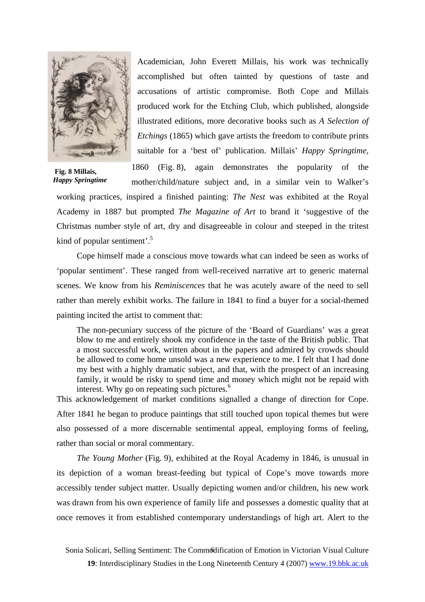

Academician, John Everett Millais, his work was technically accomplished but often tainted by questions of taste and accusations of artistic compromise. Both Cope and Millais produced work for the Etching Club, which published, alongside illustrated editions, more decorative books such as *A Selection of Etchings* (1865) which gave artists the freedom to contribute prints suitable for a 'best of' publication. Millais' *Happy Springtime*,

 **Fig. 8 Millais,**  *Happy Springtime* 

1860 (Fig. 8), again demonstrates the popularity of the mother/child/nature subject and, in a similar vein to Walker's

working practices, inspired a finished painting: *The Nest* was exhibited at the Royal Academy in 1887 but prompted *The Magazine of Art* to brand it 'suggestive of the Christmas number style of art, dry and disagreeable in colour and steeped in the tritest kind of popular sentiment'.<sup>[5](#page-20-4)</sup>

Cope himself made a conscious move towards what can indeed be seen as works of 'popular sentiment'. These ranged from well-received narrative art to generic maternal scenes. We know from his *Reminiscences* that he was acutely aware of the need to sell rather than merely exhibit works. The failure in 1841 to find a buyer for a social-themed painting incited the artist to comment that:

The non-pecuniary success of the picture of the 'Board of Guardians' was a great blow to me and entirely shook my confidence in the taste of the British public. That a most successful work, written about in the papers and admired by crowds should be allowed to come home unsold was a new experience to me. I felt that I had done my best with a highly dramatic subject, and that, with the prospect of an increasing family, it would be risky to spend time and money which might not be repaid with interest. Why go on repeating such pictures.<sup>[6](#page-20-5)</sup>

This acknowledgement of market conditions signalled a change of direction for Cope. After 1841 he began to produce paintings that still touched upon topical themes but were also possessed of a more discernable sentimental appeal, employing forms of feeling, rather than social or moral commentary.

*The Young Mother* (Fig. 9)*,* exhibited at the Royal Academy in 1846, is unusual in its depiction of a woman breast-feeding but typical of Cope's move towards more accessibly tender subject matter. Usually depicting women and/or children, his new work was drawn from his own experience of family life and possesses a domestic quality that at once removes it from established contemporary understandings of high art. Alert to the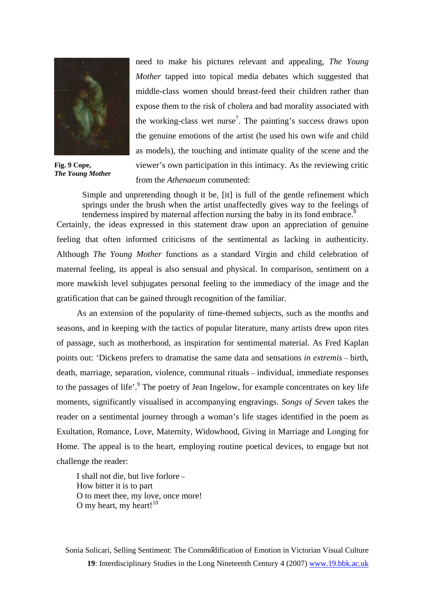

**Fig. 9 Cope,**  *The Young Mother* 

need to make his pictures relevant and appealing, *The Young Mother* tapped into topical media debates which suggested that middle-class women should breast-feed their children rather than expose them to the risk of cholera and bad morality associated with th[e](#page-20-1) working-class wet nurse<sup>7</sup>. The painting's success draws upon the genuine emotions of the artist (he used his own wife and child as models), the touching and intimate quality of the scene and the viewer's own participation in this intimacy. As the reviewing critic from the *Athenaeum* commented:

Simple and unpretending though it be, [it] is full of the gentle refinement which springs under the brush when the artist unaffectedly gives way to the feelings of tenderness inspired by maternal affection nursing the baby in its fond embrace. $\frac{8}{3}$  $\frac{8}{3}$  $\frac{8}{3}$ Certainly, the ideas expressed in this statement draw upon an appreciation of genuine feeling that often informed criticisms of the sentimental as lacking in authenticity. Although *The Young Mother* functions as a standard Virgin and child celebration of

maternal feeling, its appeal is also sensual and physical. In comparison, sentiment on a more mawkish level subjugates personal feeling to the immediacy of the image and the gratification that can be gained through recognition of the familiar.

As an extension of the popularity of time-themed subjects, such as the months and seasons, and in keeping with the tactics of popular literature, many artists drew upon rites of passage, such as motherhood, as inspiration for sentimental material. As Fred Kaplan points out: 'Dickens prefers to dramatise the same data and sensations *in extremis* – birth, death, marriage, separation, violence, communal rituals – individual, immediate responses tothe passages of life'.<sup>9</sup> The poetry of Jean Ingelow, for example concentrates on key life moments, significantly visualised in accompanying engravings. *Songs of Seven* takes the reader on a sentimental journey through a woman's life stages identified in the poem as Exultation, Romance, Love, Maternity, Widowhood, Giving in Marriage and Longing for Home. The appeal is to the heart, employing routine poetical devices, to engage but not challenge the reader:

I shall not die, but live forlore – How bitter it is to part O to meet thee, my love, once more! O my heart, my heart! $10$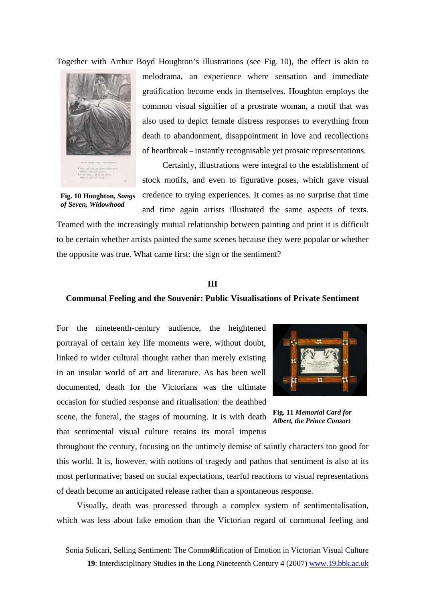Together with Arthur Boyd Houghton's illustrations (see Fig. 10), the effect is akin to



melodrama, an experience where sensation and immediate gratification become ends in themselves. Houghton employs the common visual signifier of a prostrate woman, a motif that was also used to depict female distress responses to everything from death to abandonment, disappointment in love and recollections of heartbreak – instantly recognisable yet prosaic representations.

Certainly, illustrations were integral to the establishment of stock motifs, and even to figurative poses, which gave visual credence to trying experiences. It comes as no surprise that time

**Fig. 10 Houghton,** *Songs of Seven, Widowhood*

and time again artists illustrated the same aspects of texts. Teamed with the increasingly mutual relationship between painting and print it is difficult to be certain whether artists painted the same scenes because they were popular or whether the opposite was true. What came first: the sign or the sentiment?

#### **III**

#### **Communal Feeling and the Souvenir: Public Visualisations of Private Sentiment**

For the nineteenth-century audience, the heightened portrayal of certain key life moments were, without doubt, linked to wider cultural thought rather than merely existing in an insular world of art and literature. As has been well documented, death for the Victorians was the ultimate occasion for studied response and ritualisation: the deathbed scene, the funeral, the stages of mourning. It is with death that sentimental visual culture retains its moral impetus



**Fig. 11** *Memorial Card for Albert, the Prince Consort*

throughout the century, focusing on the untimely demise of saintly characters too good for this world. It is, however, with notions of tragedy and pathos that sentiment is also at its most performative; based on social expectations, tearful reactions to visual representations of death become an anticipated release rather than a spontaneous response.

Visually, death was processed through a complex system of sentimentalisation, which was less about fake emotion than the Victorian regard of communal feeling and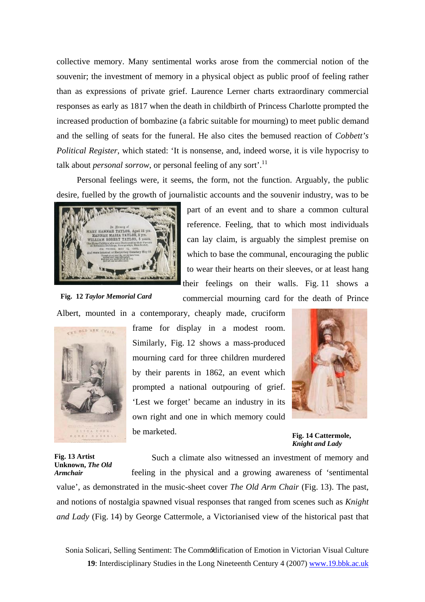collective memory. Many sentimental works arose from the commercial notion of the souvenir; the investment of memory in a physical object as public proof of feeling rather than as expressions of private grief. Laurence Lerner charts extraordinary commercial responses as early as 1817 when the death in childbirth of Princess Charlotte prompted the increased production of bombazine (a fabric suitable for mourning) to meet public demand and the selling of seats for the funeral. He also cites the bemused reaction of *Cobbett's Political Register*, which stated: 'It is nonsense, and, indeed worse, it is vile hypocrisy to talk about *personal sorrow*, or personal feeling of any sort'.<sup>[11](#page-20-9)</sup>

Personal feelings were, it seems, the form, not the function. Arguably, the public desire, fuelled by the growth of journalistic accounts and the souvenir industry, was to be



part of an event and to share a common cultural reference. Feeling, that to which most individuals can lay claim, is arguably the simplest premise on which to base the communal, encouraging the public to wear their hearts on their sleeves, or at least hang their feelings on their walls. Fig. 11 shows a

commercial mourning card for the death of Prince

**Fig. 12** *Taylor Memorial Card*

Albert, mounted in a contemporary, cheaply made, cruciform



frame for display in a modest room. Similarly, Fig. 12 shows a mass-produced mourning card for three children murdered by their parents in 1862, an event which prompted a national outpouring of grief. 'Lest we forget' became an industry in its own right and one in which memory could be marketed.



**Fig. 14 Cattermole,**  *Knight and Lady*

**Fig. 13 Artist Unknown,** *The Old Armchair* 

Such a climate also witnessed an investment of memory and

feeling in the physical and a growing awareness of 'sentimental value', as demonstrated in the music-sheet cover *The Old Arm Chair* (Fig. 13). The past, and notions of nostalgia spawned visual responses that ranged from scenes such as *Knight and Lady* (Fig. 14) by George Cattermole, a Victorianised view of the historical past that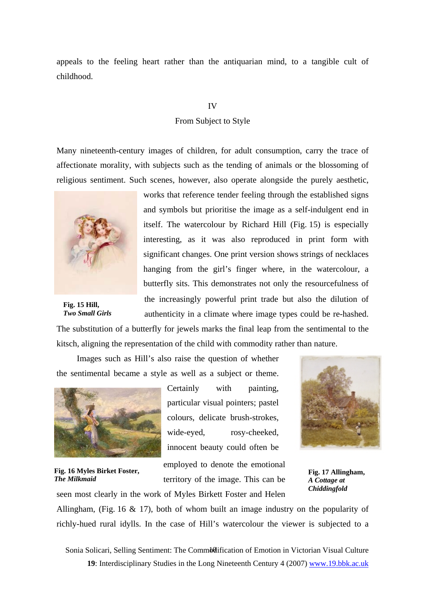appeals to the feeling heart rather than the antiquarian mind, to a tangible cult of childhood.

# IV

### From Subject to Style

Many nineteenth-century images of children, for adult consumption, carry the trace of affectionate morality, with subjects such as the tending of animals or the blossoming of religious sentiment. Such scenes, however, also operate alongside the purely aesthetic,



 **Fig. 15 Hill,**   *Two Small Girls* 

works that reference tender feeling through the established signs and symbols but prioritise the image as a self-indulgent end in itself. The watercolour by Richard Hill (Fig. 15) is especially interesting, as it was also reproduced in print form with significant changes. One print version shows strings of necklaces hanging from the girl's finger where, in the watercolour, a butterfly sits. This demonstrates not only the resourcefulness of the increasingly powerful print trade but also the dilution of authenticity in a climate where image types could be re-hashed.

The substitution of a butterfly for jewels marks the final leap from the sentimental to the kitsch, aligning the representation of the child with commodity rather than nature.

Images such as Hill's also raise the question of whether the sentimental became a style as well as a subject or theme.

seen most clearly in the work of Myles Birkett Foster and Helen



**Fig. 16 Myles Birket Foster,**  *The Milkmaid*

Certainly with painting, particular visual pointers; pastel colours, delicate brush-strokes, wide-eyed, rosy-cheeked, innocent beauty could often be

employed to denote the emotional territory of the image. This can be



**Fig. 17 Allingham,**  *A Cottage at Chiddingfold*

Allingham, (Fig. 16 & 17), both of whom built an image industry on the popularity of richly-hued rural idylls. In the case of Hill's watercolour the viewer is subjected to a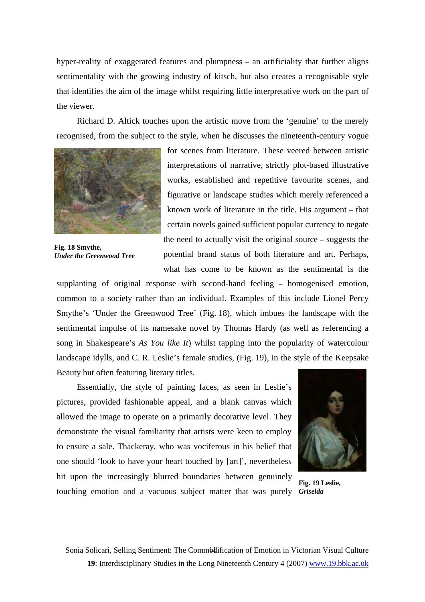hyper-reality of exaggerated features and plumpness – an artificiality that further aligns sentimentality with the growing industry of kitsch, but also creates a recognisable style that identifies the aim of the image whilst requiring little interpretative work on the part of the viewer.

Richard D. Altick touches upon the artistic move from the 'genuine' to the merely recognised, from the subject to the style, when he discusses the nineteenth-century vogue



**Fig. 18 Smythe,**  *Under the Greenwood Tree* 

for scenes from literature. These veered between artistic interpretations of narrative, strictly plot-based illustrative works, established and repetitive favourite scenes, and figurative or landscape studies which merely referenced a known work of literature in the title. His argument – that certain novels gained sufficient popular currency to negate the need to actually visit the original source – suggests the potential brand status of both literature and art. Perhaps, what has come to be known as the sentimental is the

supplanting of original response with second-hand feeling – homogenised emotion, common to a society rather than an individual. Examples of this include Lionel Percy Smythe's 'Under the Greenwood Tree' (Fig. 18), which imbues the landscape with the sentimental impulse of its namesake novel by Thomas Hardy (as well as referencing a song in Shakespeare's *As You like It*) whilst tapping into the popularity of watercolour landscape idylls, and C. R. Leslie's female studies, (Fig. 19), in the style of the Keepsake Beauty but often featuring literary titles.

Essentially, the style of painting faces, as seen in Leslie's pictures, provided fashionable appeal, and a blank canvas which allowed the image to operate on a primarily decorative level. They demonstrate the visual familiarity that artists were keen to employ to ensure a sale. Thackeray, who was vociferous in his belief that one should 'look to have your heart touched by [art]', nevertheless hit upon the increasingly blurred boundaries between genuinely



touching emotion and a vacuous subject matter that was purely *Griselda* **Fig. 19 Leslie,**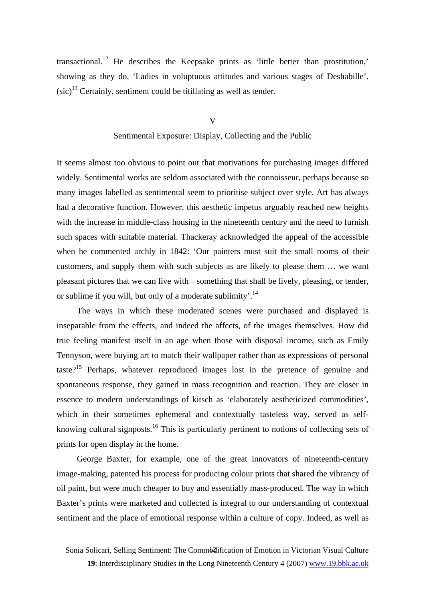transactional.<sup>12</sup> He describes the Keepsake prints as 'little better than prostitution,' showing as they do, 'Ladies in voluptuous attitudes and various stages of Deshabille'.  $(sic)^{13}$  Certainly, sentiment could be titillating as well as tender.

V

# Sentimental Exposure: Display, Collecting and the Public

It seems almost too obvious to point out that motivations for purchasing images differed widely. Sentimental works are seldom associated with the connoisseur, perhaps because so many images labelled as sentimental seem to prioritise subject over style. Art has always had a decorative function. However, this aesthetic impetus arguably reached new heights with the increase in middle-class housing in the nineteenth century and the need to furnish such spaces with suitable material. Thackeray acknowledged the appeal of the accessible when he commented archly in 1842: 'Our painters must suit the small rooms of their customers, and supply them with such subjects as are likely to please them … we want pleasant pictures that we can live with – something that shall be lively, pleasing, or tender, or sublime if you will, but only of a moderate sublimity.<sup>14</sup>

The ways in which these moderated scenes were purchased and displayed is inseparable from the effects, and indeed the affects, of the images themselves. How did true feeling manifest itself in an age when those with disposal income, such as Emily Tennyson, were buying art to match their wallpaper rather than as expressions of personal taste?<sup>15</sup> Perhaps, whatever reproduced images lost in the pretence of genuine and spontaneous response, they gained in mass recognition and reaction. They are closer in essence to modern understandings of kitsch as 'elaborately aestheticized commodities', which in their sometimes ephemeral and contextually tasteless way, served as selfknowing cultural signposts.<sup>16</sup> This is particularly pertinent to notions of collecting sets of prints for open display in the home.

George Baxter, for example, one of the great innovators of nineteenth-century image-making, patented his process for producing colour prints that shared the vibrancy of oil paint, but were much cheaper to buy and essentially mass-produced. The way in which Baxter's prints were marketed and collected is integral to our understanding of contextual sentiment and the place of emotional response within a culture of copy. Indeed, as well as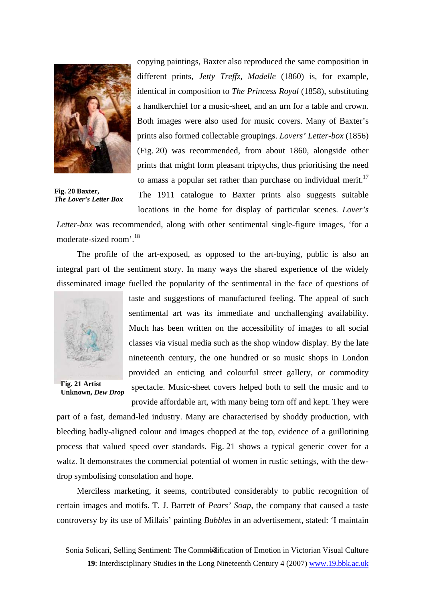

copying paintings, Baxter also reproduced the same composition in different prints, *Jetty Treffz, Madelle* (1860) is, for example, identical in composition to *The Princess Royal* (1858), substituting a handkerchief for a music-sheet, and an urn for a table and crown. Both images were also used for music covers. Many of Baxter's prints also formed collectable groupings. *Lovers' Letter-box* (1856) (Fig. 20) was recommended, from about 1860, alongside other prints that might form pleasant triptychs, thus prioritising the need to amass a popular set rather than purchase on individual merit.<sup>17</sup>

**Fig. 20 Baxter,**  *The Lover's Letter Box* 

The 1911 catalogue to Baxter prints also suggests suitable locations in the home for display of particular scenes. *Lover's* 

*Letter-box* was recommended, along with other sentimental single-figure images, 'for a moderate-sized room'.[18](#page-20-16)

The profile of the art-exposed, as opposed to the art-buying, public is also an integral part of the sentiment story. In many ways the shared experience of the widely disseminated image fuelled the popularity of the sentimental in the face of questions of



**Fig. 21 Artist Unknown,** *Dew Drop*

taste and suggestions of manufactured feeling. The appeal of such sentimental art was its immediate and unchallenging availability. Much has been written on the accessibility of images to all social classes via visual media such as the shop window display. By the late nineteenth century, the one hundred or so music shops in London provided an enticing and colourful street gallery, or commodity spectacle. Music-sheet covers helped both to sell the music and to

provide affordable art, with many being torn off and kept. They were

part of a fast, demand-led industry. Many are characterised by shoddy production, with bleeding badly-aligned colour and images chopped at the top, evidence of a guillotining process that valued speed over standards. Fig. 21 shows a typical generic cover for a waltz. It demonstrates the commercial potential of women in rustic settings, with the dewdrop symbolising consolation and hope.

Merciless marketing, it seems, contributed considerably to public recognition of certain images and motifs. T. J. Barrett of *Pears' Soap,* the company that caused a taste controversy by its use of Millais' painting *Bubbles* in an advertisement, stated: 'I maintain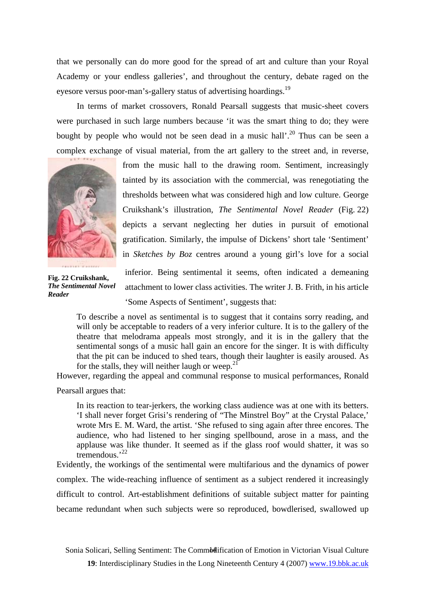that we personally can do more good for the spread of art and culture than your Royal Academy or your endless galleries', and throughout the century, debate raged on the eyesore versus poor-man's-gallery status of advertising hoardings.<sup>19</sup>

In terms of market crossovers, Ronald Pearsall suggests that music-sheet covers were purchased in such large numbers because 'it was the smart thing to do; they were bought by people who would not be seen dead in a music hall'.<sup>20</sup> Thus can be seen a complex exchange of visual material, from the art gallery to the street and, in reverse,



from the music hall to the drawing room. Sentiment, increasingly tainted by its association with the commercial, was renegotiating the thresholds between what was considered high and low culture. George Cruikshank's illustration, *The Sentimental Novel Reader* (Fig. 22) depicts a servant neglecting her duties in pursuit of emotional gratification. Similarly, the impulse of Dickens' short tale 'Sentiment' in *Sketches by Boz* centres around a young girl's love for a social

**Fig. 22 Cruikshank,**  *The Sentimental Novel Reader* 

inferior. Being sentimental it seems, often indicated a demeaning attachment to lower class activities. The writer J. B. Frith, in his article 'Some Aspects of Sentiment', suggests that:

To describe a novel as sentimental is to suggest that it contains sorry reading, and will only be acceptable to readers of a very inferior culture. It is to the gallery of the theatre that melodrama appeals most strongly, and it is in the gallery that the sentimental songs of a music hall gain an encore for the singer. It is with difficulty that the pit can be induced to shed tears, though their laughter is easily aroused. As for the stalls, they will neither laugh or weep. $^{21}$  $^{21}$  $^{21}$ 

However, regarding the appeal and communal response to musical performances, Ronald

Pearsall argues that:

In its reaction to tear-jerkers, the working class audience was at one with its betters. 'I shall never forget Grisi's rendering of "The Minstrel Boy" at the Crystal Palace,' wrote Mrs E. M. Ward, the artist. 'She refused to sing again after three encores. The audience, who had listened to her singing spellbound, arose in a mass, and the applause was like thunder. It seemed as if the glass roof would shatter, it was so tremendous.'[22](#page-20-18)

Evidently, the workings of the sentimental were multifarious and the dynamics of power complex. The wide-reaching influence of sentiment as a subject rendered it increasingly difficult to control. Art-establishment definitions of suitable subject matter for painting became redundant when such subjects were so reproduced, bowdlerised, swallowed up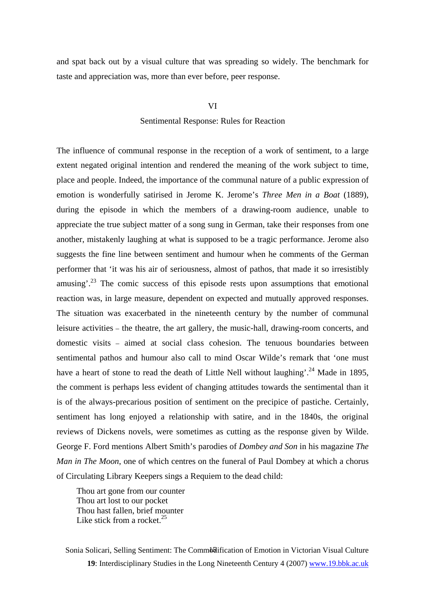and spat back out by a visual culture that was spreading so widely. The benchmark for taste and appreciation was, more than ever before, peer response.

#### VI

# Sentimental Response: Rules for Reaction

The influence of communal response in the reception of a work of sentiment, to a large extent negated original intention and rendered the meaning of the work subject to time, place and people. Indeed, the importance of the communal nature of a public expression of emotion is wonderfully satirised in Jerome K. Jerome's *Three Men in a Boat* (1889)*,*  during the episode in which the members of a drawing-room audience, unable to appreciate the true subject matter of a song sung in German, take their responses from one another, mistakenly laughing at what is supposed to be a tragic performance. Jerome also suggests the fine line between sentiment and humour when he comments of the German performer that 'it was his air of seriousness, almost of pathos, that made it so irresistibly amusing'.<sup>23</sup> The comic success of this episode rests upon assumptions that emotional reaction was, in large measure, dependent on expected and mutually approved responses. The situation was exacerbated in the nineteenth century by the number of communal leisure activities – the theatre, the art gallery, the music-hall, drawing-room concerts, and domestic visits – aimed at social class cohesion. The tenuous boundaries between sentimental pathos and humour also call to mind Oscar Wilde's remark that 'one must have a heart of stone to read the death of Little Nell without laughing'.<sup>24</sup> Made in 1895, the comment is perhaps less evident of changing attitudes towards the sentimental than it is of the always-precarious position of sentiment on the precipice of pastiche. Certainly, sentiment has long enjoyed a relationship with satire, and in the 1840s, the original reviews of Dickens novels, were sometimes as cutting as the response given by Wilde. George F. Ford mentions Albert Smith's parodies of *Dombey and Son* in his magazine *The Man in The Moon*, one of which centres on the funeral of Paul Dombey at which a chorus of Circulating Library Keepers sings a Requiem to the dead child:

Thou art gone from our counter Thou art lost to our pocket Thou hast fallen, brief mounter Like stick from a rocket.<sup>[25](#page-20-21)</sup>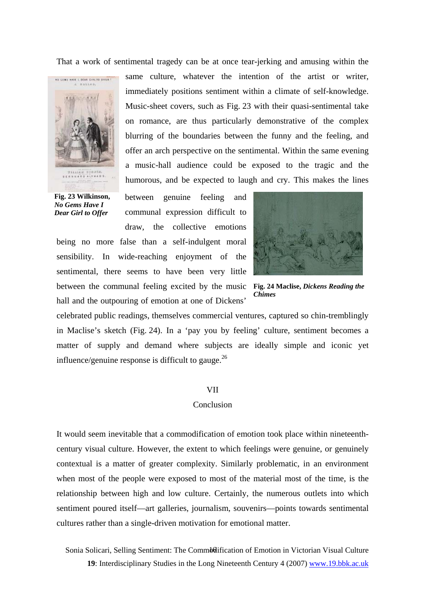That a work of sentimental tragedy can be at once tear-jerking and amusing within the



**Fig. 23 Wilkinson,**  *No Gems Have I Dear Girl to Offer* 

same culture, whatever the intention of the artist or writer, immediately positions sentiment within a climate of self-knowledge. Music-sheet covers, such as Fig. 23 with their quasi-sentimental take on romance, are thus particularly demonstrative of the complex blurring of the boundaries between the funny and the feeling, and offer an arch perspective on the sentimental. Within the same evening a music-hall audience could be exposed to the tragic and the humorous, and be expected to laugh and cry. This makes the lines

between genuine feeling and communal expression difficult to draw, the collective emotions

being no more false than a self-indulgent moral sensibility. In wide-reaching enjoyment of the sentimental, there seems to have been very little between the communal feeling excited by the music **Fig. 24 Maclise,** *Dickens Reading the*  hall and the outpouring of emotion at one of Dickens'



*Chimes*

celebrated public readings, themselves commercial ventures, captured so chin-tremblingly in Maclise's sketch (Fig. 24). In a 'pay you by feeling' culture, sentiment becomes a matter of supply and demand where subjects are ideally simple and iconic yet influence/genuine response is difficult to gauge. $^{26}$  $^{26}$  $^{26}$ 

#### VII

### Conclusion

It would seem inevitable that a commodification of emotion took place within nineteenthcentury visual culture. However, the extent to which feelings were genuine, or genuinely contextual is a matter of greater complexity. Similarly problematic, in an environment when most of the people were exposed to most of the material most of the time, is the relationship between high and low culture. Certainly, the numerous outlets into which sentiment poured itself—art galleries, journalism, souvenirs—points towards sentimental cultures rather than a single-driven motivation for emotional matter.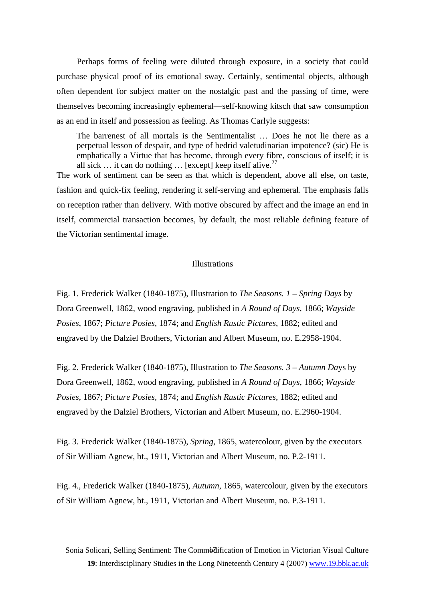Perhaps forms of feeling were diluted through exposure, in a society that could purchase physical proof of its emotional sway. Certainly, sentimental objects, although often dependent for subject matter on the nostalgic past and the passing of time, were themselves becoming increasingly ephemeral—self-knowing kitsch that saw consumption as an end in itself and possession as feeling. As Thomas Carlyle suggests:

The barrenest of all mortals is the Sentimentalist … Does he not lie there as a perpetual lesson of despair, and type of bedrid valetudinarian impotence? (sic) He is emphatically a Virtue that has become, through every fibre, conscious of itself; it is all sick  $\ldots$  it can do nothing  $\ldots$  [except] keep itself alive.<sup>27</sup>

The work of sentiment can be seen as that which is dependent, above all else, on taste, fashion and quick-fix feeling, rendering it self-serving and ephemeral. The emphasis falls on reception rather than delivery. With motive obscured by affect and the image an end in itself, commercial transaction becomes, by default, the most reliable defining feature of the Victorian sentimental image.

# Illustrations

Fig. 1. Frederick Walker (1840-1875), Illustration to *The Seasons. 1 – Spring Days* by Dora Greenwell, 1862, wood engraving, published in *A Round of Days*, 1866; *Wayside Posies*, 1867; *Picture Posies*, 1874; and *English Rustic Pictures*, 1882; edited and engraved by the Dalziel Brothers, Victorian and Albert Museum, no. E.2958-1904.

Fig. 2. Frederick Walker (1840-1875), Illustration to *The Seasons. 3 – Autumn Da*ys by Dora Greenwell, 1862, wood engraving, published in *A Round of Days*, 1866; *Wayside Posies*, 1867; *Picture Posies*, 1874; and *English Rustic Pictures*, 1882; edited and engraved by the Dalziel Brothers, Victorian and Albert Museum, no. E.2960-1904.

Fig. 3. Frederick Walker (1840-1875), *Spring*, 1865, watercolour, given by the executors of Sir William Agnew, bt., 1911, Victorian and Albert Museum, no. P.2-1911.

Fig. 4., Frederick Walker (1840-1875), *Autumn*, 1865, watercolour, given by the executors of Sir William Agnew, bt., 1911, Victorian and Albert Museum, no. P.3-1911.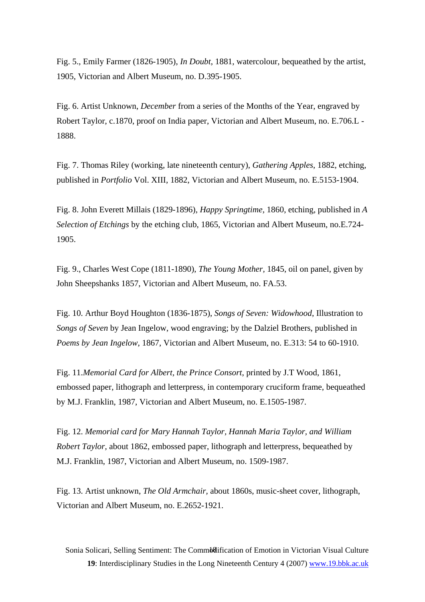Fig. 5., Emily Farmer (1826-1905), *In Doubt*, 1881, watercolour, bequeathed by the artist, 1905, Victorian and Albert Museum, no. D.395-1905.

Fig. 6. Artist Unknown, *December* from a series of the Months of the Year, engraved by Robert Taylor, c.1870, proof on India paper, Victorian and Albert Museum, no. E.706.L - 1888.

Fig. 7. Thomas Riley (working, late nineteenth century), *Gathering Apples*, 1882, etching, published in *Portfolio* Vol. XIII, 1882, Victorian and Albert Museum, no. E.5153-1904.

Fig. 8. John Everett Millais (1829-1896), *Happy Springtime,* 1860, etching, published in *A Selection of Etchings* by the etching club, 1865, Victorian and Albert Museum, no.E.724- 1905.

Fig. 9., Charles West Cope (1811-1890), *The Young Mother,* 1845, oil on panel, given by John Sheepshanks 1857, Victorian and Albert Museum, no. FA.53.

Fig. 10. Arthur Boyd Houghton (1836-1875), *Songs of Seven: Widowhood*, Illustration to *Songs of Seven* by Jean Ingelow, wood engraving; by the Dalziel Brothers, published in *Poems by Jean Ingelow*, 1867, Victorian and Albert Museum, no. E.313: 54 to 60-1910.

Fig. 11.*Memorial Card for Albert, the Prince Consort*, printed by J.T Wood, 1861, embossed paper, lithograph and letterpress, in contemporary cruciform frame, bequeathed by M.J. Franklin, 1987, Victorian and Albert Museum, no. E.1505-1987.

Fig. 12. *Memorial card for Mary Hannah Taylor, Hannah Maria Taylor, and William Robert Taylor,* about 1862, embossed paper, lithograph and letterpress, bequeathed by M.J. Franklin, 1987, Victorian and Albert Museum, no. 1509-1987.

Fig. 13. Artist unknown, *The Old Armchair,* about 1860s, music-sheet cover, lithograph, Victorian and Albert Museum, no. E.2652-1921.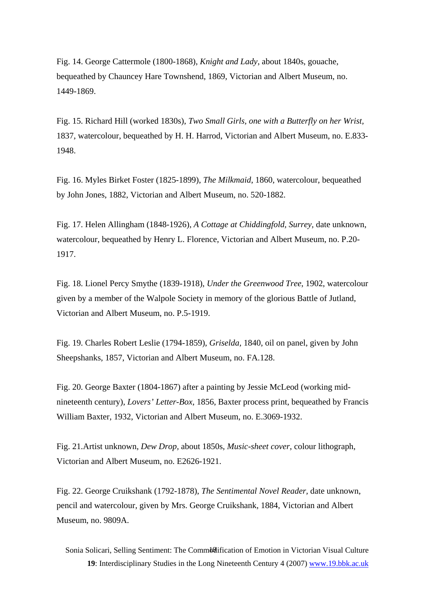Fig. 14. George Cattermole (1800-1868), *Knight and Lady*, about 1840s, gouache, bequeathed by Chauncey Hare Townshend, 1869, Victorian and Albert Museum, no. 1449-1869.

Fig. 15. Richard Hill (worked 1830s), *Two Small Girls, one with a Butterfly on her Wrist,*  1837, watercolour, bequeathed by H. H. Harrod, Victorian and Albert Museum, no. E.833- 1948.

Fig. 16. Myles Birket Foster (1825-1899), *The Milkmaid*, 1860, watercolour, bequeathed by John Jones, 1882, Victorian and Albert Museum, no. 520-1882.

Fig. 17. Helen Allingham (1848-1926), *A Cottage at Chiddingfold, Surrey,* date unknown, watercolour, bequeathed by Henry L. Florence, Victorian and Albert Museum, no. P.20- 1917.

Fig. 18. Lionel Percy Smythe (1839-1918), *Under the Greenwood Tree*, 1902, watercolour given by a member of the Walpole Society in memory of the glorious Battle of Jutland, Victorian and Albert Museum, no. P.5-1919.

Fig. 19. Charles Robert Leslie (1794-1859), *Griselda,* 1840, oil on panel, given by John Sheepshanks, 1857, Victorian and Albert Museum, no. FA.128.

Fig. 20. George Baxter (1804-1867) after a painting by Jessie McLeod (working midnineteenth century), *Lovers' Letter-Box*, 1856, Baxter process print, bequeathed by Francis William Baxter, 1932, Victorian and Albert Museum, no. E.3069-1932.

Fig. 21.Artist unknown, *Dew Drop,* about 1850s, *Music-sheet cover*, colour lithograph, Victorian and Albert Museum, no. E2626-1921.

Fig. 22. George Cruikshank (1792-1878), *The Sentimental Novel Reader,* date unknown, pencil and watercolour, given by Mrs. George Cruikshank, 1884, Victorian and Albert Museum, no. 9809A.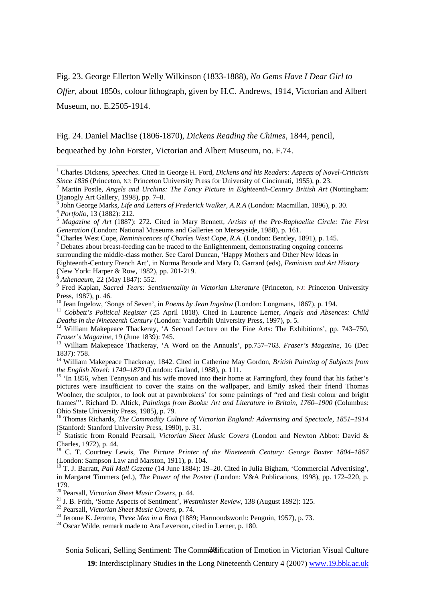Fig. 23. George Ellerton Welly Wilkinson (1833-1888), *No Gems Have I Dear Girl to* 

*Offer*, about 1850s, colour lithograph, given by H.C. Andrews, 1914, Victorian and Albert Museum, no. E.2505-1914.

Fig. 24. Daniel Maclise (1806-1870), *Dickens Reading the Chimes,* 1844, pencil,

bequeathed by John Forster, Victorian and Albert Museum, no. F.74.

<sup>11</sup> Cobbett's Political Register (25 April 1818). Cited in Laurence Lerner, *Angels and Absences: Child* Deaths in the Nineteenth Century (London: Vanderbilt University Press, 1997), p. 5.

<sup>12</sup> William Makepeace Thackeray, 'A Second Lecture on the Fine Arts: The Exhibitions', pp. 743–750, *Fraser's Magazine*, 19 (June 1839): 745.

<sup>13</sup> William Makepeace Thackeray, 'A Word on the Annuals', pp.757–763. *Fraser's Magazine*, 16 (Dec 1837): 758. 14 William Makepeace Thackeray, 1842. Cited in Catherine May Gordon, *British Painting of Subjects from* 

*the English Novel: 1740–1870* (London: Garland, 1988), p. 111.<br><sup>15</sup> 'In 1856, when Tennyson and his wife moved into their home at Farringford, they found that his father's

pictures were insufficient to cover the stains on the wallpaper, and Emily asked their friend Thomas Woolner, the sculptor, to look out at pawnbrokers' for some paintings of "red and flesh colour and bright frames"'. Richard D. Altick, *Paintings from Books: Art and Literature in Britain, 1760–1900* (Columbus:

Ohio State University Press, 1985), p. 79.<br><sup>16</sup> Thomas Richards, *The Commodity Culture of Victorian England: Advertising and Spectacle, 1851–1914*<br>(Stanford: Stanford University Press, 1990), p. 31.

Charles, 1972), p. 44. 18 C. T. Courtney Lewis, *The Picture Printer of the Nineteenth Century: George Baxter 1804–1867* (London: Sampson Law and Marston, 1911), p. 104.

<sup>19</sup> T. J. Barratt, *Pall Mall Gazette* (14 June 1884): 19–20. Cited in Julia Bigham, 'Commercial Advertising', in Margaret Timmers (ed.), *The Power of the Poster* (London: V&A Publications, 1998), pp. 172–220, p. 179.<br><sup>20</sup> Pearsall, *Victorian Sheet Music Covers*, p. 44.

<sup>21</sup> J. B. Frith, 'Some Aspects of Sentiment', *Westminster Review*, 138 (August 1892): 125.<br><sup>22</sup> Pearsall, *Victorian Sheet Music Covers*, p. 74.<br><sup>23</sup> Jerome K. Jerome, *Three Men in a Boat* (1889; Harmondsworth: Penguin

Sonia Solicari, Selling Sentiment: The Comm&dification of Emotion in Victorian Visual Culture

**19**: Interdisciplinary Studies in the Long Nineteenth Century 4 (2007) www.19.bbk.ac.uk

 $\frac{1}{1}$  Charles Dickens, *Speeches*. Cited in George H. Ford, *Dickens and his Readers: Aspects of Novel-Criticism Since 1836* (Princeton, NJ: Princeton University Press for University of Cincinnati, 1955), p. 23.<br><sup>2</sup> Mortin Passland A. 2 Mortin Passland A. 2 Mortin Passland A. 2 Mortin Passland A. 2 Mortin Passland A. 2 Mortin Passla

Martin Postle, *Angels and Urchins: The Fancy Picture in Eighteenth-Century British Art* (Nottingham: Djanogly Art Gallery, 1998), pp. 7–8.<br><sup>3</sup> John George Marks, *Life and Letters of Frederick Walker*, A.R.A (London: Macmillan, 1896), p. 30.

<sup>&</sup>lt;sup>4</sup> Portfolio, 13 (1882): 212.<br><sup>5</sup> Magazine of Art (1887): 272. Cited in Mary Bennett, Artists of the Pre-Raphaelite Circle: The First *Generation* (London: National Museums and Galleries on Merseyside, 1988), p. 161.

Charles West Cope, *Reminiscences of Charles West Cope, R.A.* (London: Bentley, 1891), p. 145. 7  $\sigma$ <sup>7</sup> Debates about breast-feeding can be traced to the Enlightenment, demonstrating ongoing concerns surrounding the middle-class mother. See Carol Duncan, 'Happy Mothers and Other New Ideas in Eighteenth-Century French Art', in Norma Broude and Mary D. Garrard (eds), *Feminism and Art History* 

<sup>(</sup>New York: Harper & Row, 1982), pp. 201-219.<br><sup>8</sup> Athenaeum, 22 (May 1847): 552.<br><sup>9</sup> Fred Kaplan, *Sacred Tears: Sentimentality in Victorian Literature* (Princeton, NJ: Princeton University Press, 1987), p. 46.<br><sup>10</sup> Jean Ingelow, 'Songs of Seven', in *Poems by Jean Ingelow* (London: Longmans, 1867), p. 194.

<sup>&</sup>lt;sup>17</sup> Statistic from Ronald Pearsall, *Victorian Sheet Music Covers* (London and Newton Abbot: David & Charles, 1972), p. 44.